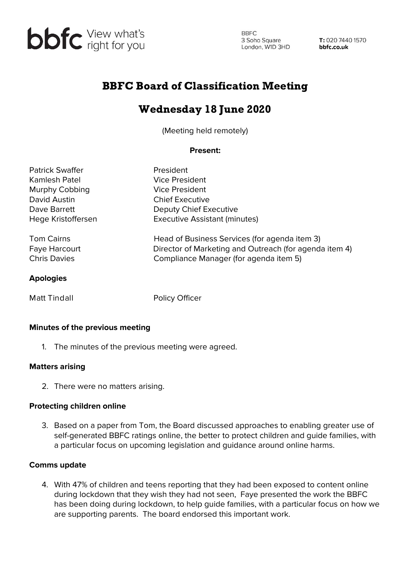

**BBFC** 3 Soho Square<br>
London, W1D 3HD<br> **bbfc.co.uk** 

# BBFC Board of Classification Meeting

# Wednesday 18 June 2020

(Meeting held remotely)

### **Present:**

| <b>Patrick Swaffer</b> | President                                              |
|------------------------|--------------------------------------------------------|
| Kamlesh Patel          | Vice President                                         |
| Murphy Cobbing         | <b>Vice President</b>                                  |
| David Austin           | <b>Chief Executive</b>                                 |
| Dave Barrett           | Deputy Chief Executive                                 |
| Hege Kristoffersen     | <b>Executive Assistant (minutes)</b>                   |
| <b>Tom Cairns</b>      | Head of Business Services (for agenda item 3)          |
| Faye Harcourt          | Director of Marketing and Outreach (for agenda item 4) |
| <b>Chris Davies</b>    | Compliance Manager (for agenda item 5)                 |
| <b>Apologies</b>       |                                                        |
| <b>Matt Tindall</b>    | <b>Policy Officer</b>                                  |

#### **Minutes of the previous meeting**

1. The minutes of the previous meeting were agreed.

#### **Matters arising**

2. There were no matters arising.

#### **Protecting children online**

3. Based on a paper from Tom, the Board discussed approaches to enabling greater use of self-generated BBFC ratings online, the better to protect children and guide families, with a particular focus on upcoming legislation and guidance around online harms.

#### **Comms update**

4. With 47% of children and teens reporting that they had been exposed to content online during lockdown that they wish they had not seen, Faye presented the work the BBFC has been doing during lockdown, to help guide families, with a particular focus on how we are supporting parents. The board endorsed this important work.